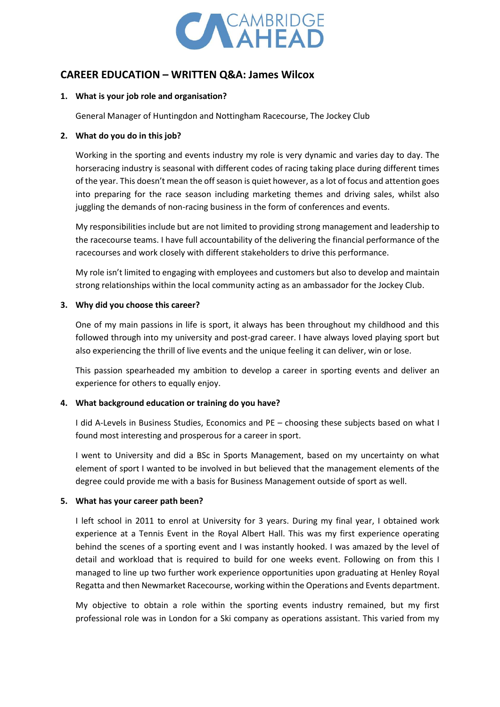

# **CAREER EDUCATION – WRITTEN Q&A: James Wilcox**

### **1. What is your job role and organisation?**

General Manager of Huntingdon and Nottingham Racecourse, The Jockey Club

### **2. What do you do in this job?**

Working in the sporting and events industry my role is very dynamic and varies day to day. The horseracing industry is seasonal with different codes of racing taking place during different times of the year. This doesn't mean the off season is quiet however, as a lot of focus and attention goes into preparing for the race season including marketing themes and driving sales, whilst also juggling the demands of non-racing business in the form of conferences and events.

My responsibilities include but are not limited to providing strong management and leadership to the racecourse teams. I have full accountability of the delivering the financial performance of the racecourses and work closely with different stakeholders to drive this performance.

My role isn't limited to engaging with employees and customers but also to develop and maintain strong relationships within the local community acting as an ambassador for the Jockey Club.

### **3. Why did you choose this career?**

One of my main passions in life is sport, it always has been throughout my childhood and this followed through into my university and post-grad career. I have always loved playing sport but also experiencing the thrill of live events and the unique feeling it can deliver, win or lose.

This passion spearheaded my ambition to develop a career in sporting events and deliver an experience for others to equally enjoy.

# **4. What background education or training do you have?**

I did A-Levels in Business Studies, Economics and PE – choosing these subjects based on what I found most interesting and prosperous for a career in sport.

I went to University and did a BSc in Sports Management, based on my uncertainty on what element of sport I wanted to be involved in but believed that the management elements of the degree could provide me with a basis for Business Management outside of sport as well.

# **5. What has your career path been?**

I left school in 2011 to enrol at University for 3 years. During my final year, I obtained work experience at a Tennis Event in the Royal Albert Hall. This was my first experience operating behind the scenes of a sporting event and I was instantly hooked. I was amazed by the level of detail and workload that is required to build for one weeks event. Following on from this I managed to line up two further work experience opportunities upon graduating at Henley Royal Regatta and then Newmarket Racecourse, working within the Operations and Events department.

My objective to obtain a role within the sporting events industry remained, but my first professional role was in London for a Ski company as operations assistant. This varied from my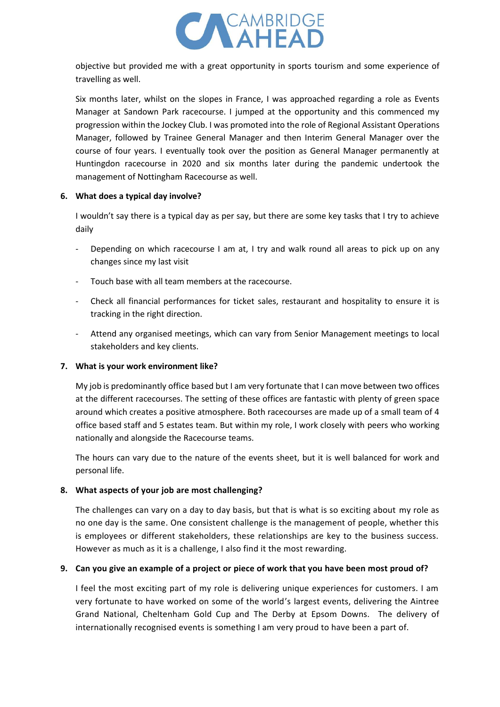

objective but provided me with a great opportunity in sports tourism and some experience of travelling as well.

Six months later, whilst on the slopes in France, I was approached regarding a role as Events Manager at Sandown Park racecourse. I jumped at the opportunity and this commenced my progression within the Jockey Club. I was promoted into the role of Regional Assistant Operations Manager, followed by Trainee General Manager and then Interim General Manager over the course of four years. I eventually took over the position as General Manager permanently at Huntingdon racecourse in 2020 and six months later during the pandemic undertook the management of Nottingham Racecourse as well.

#### **6. What does a typical day involve?**

I wouldn't say there is a typical day as per say, but there are some key tasks that I try to achieve daily

- Depending on which racecourse I am at, I try and walk round all areas to pick up on any changes since my last visit
- Touch base with all team members at the racecourse.
- Check all financial performances for ticket sales, restaurant and hospitality to ensure it is tracking in the right direction.
- Attend any organised meetings, which can vary from Senior Management meetings to local stakeholders and key clients.

# **7. What is your work environment like?**

My job is predominantly office based but I am very fortunate that I can move between two offices at the different racecourses. The setting of these offices are fantastic with plenty of green space around which creates a positive atmosphere. Both racecourses are made up of a small team of 4 office based staff and 5 estates team. But within my role, I work closely with peers who working nationally and alongside the Racecourse teams.

The hours can vary due to the nature of the events sheet, but it is well balanced for work and personal life.

# **8. What aspects of your job are most challenging?**

The challenges can vary on a day to day basis, but that is what is so exciting about my role as no one day is the same. One consistent challenge is the management of people, whether this is employees or different stakeholders, these relationships are key to the business success. However as much as it is a challenge, I also find it the most rewarding.

# **9. Can you give an example of a project or piece of work that you have been most proud of?**

I feel the most exciting part of my role is delivering unique experiences for customers. I am very fortunate to have worked on some of the world's largest events, delivering the Aintree Grand National, Cheltenham Gold Cup and The Derby at Epsom Downs. The delivery of internationally recognised events is something I am very proud to have been a part of.